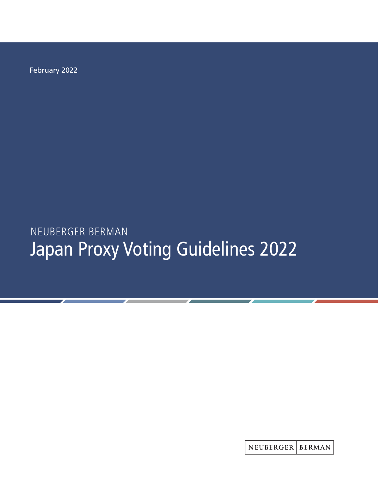NEUBERGER BERMAN

Japan Proxy Voting Guidelines 2022 NEUBERGER BERMAN **Large Color Bar - Portrait (w/Bleed)**

February 2022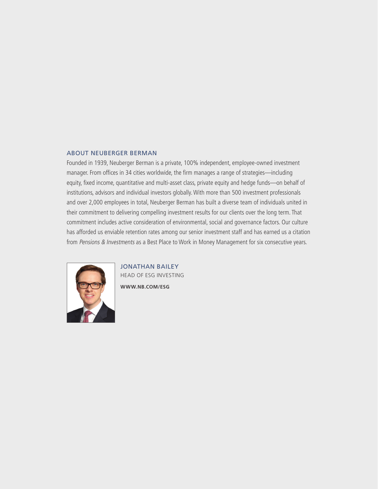# ABOUT NEUBERGER BERMAN

Founded in 1939, Neuberger Berman is a private, 100% independent, employee-owned investment manager. From offices in 34 cities worldwide, the firm manages a range of strategies—including equity, fixed income, quantitative and multi-asset class, private equity and hedge funds—on behalf of institutions, advisors and individual investors globally. With more than 500 investment professionals and over 2,000 employees in total, Neuberger Berman has built a diverse team of individuals united in their commitment to delivering compelling investment results for our clients over the long term. That commitment includes active consideration of environmental, social and governance factors. Our culture has afforded us enviable retention rates among our senior investment staff and has earned us a citation from Pensions & Investments as a Best Place to Work in Money Management for six consecutive years.



JONATHAN BAILEY HEAD OF ESG INVESTING **WWW.NB.COM/ESG**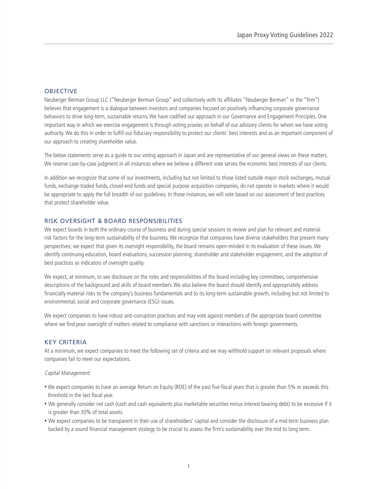# OBJECTIVE

Neuberger Berman Group LLC ("Neuberger Berman Group" and collectively with its affiliates "Neuberger Berman" or the "firm") believes that engagement is a dialogue between investors and companies focused on positively influencing corporate governance behaviors to drive long-term, sustainable returns. We have codified our approach in our Governance and Engagement Principles. One important way in which we exercise engagement is through voting proxies on behalf of our advisory clients for whom we have voting authority. We do this in order to fulfill our fiduciary responsibility to protect our clients' best interests and as an important component of our approach to creating shareholder value.

The below statements serve as a guide to our voting approach in Japan and are representative of our general views on these matters. We reserve case-by-case judgment in all instances where we believe a different vote serves the economic best interests of our clients.

In addition we recognize that some of our investments, including but not limited to those listed outside major stock exchanges, mutual funds, exchange-traded funds, closed-end funds and special purpose acquisition companies, do not operate in markets where it would be appropriate to apply the full breadth of our guidelines. In those instances, we will vote based on our assessment of best practices that protect shareholder value.

# RISK OVERSIGHT & BOARD RESPONSIBILITIES

We expect boards in both the ordinary course of business and during special sessions to review and plan for relevant and material risk factors for the long-term sustainability of the business. We recognize that companies have diverse stakeholders that present many perspectives; we expect that given its oversight responsibility, the board remains open-minded in its evaluation of these issues. We identify continuing education, board evaluations, succession planning, shareholder and stakeholder engagement, and the adoption of best practices as indicators of oversight quality.

We expect, at minimum, to see disclosure on the roles and responsibilities of the board including key committees, comprehensive descriptions of the background and skills of board members. We also believe the board should identify and appropriately address financially material risks to the company's business fundamentals and to its long-term sustainable growth, including but not limited to environmental, social and corporate governance (ESG) issues.

We expect companies to have robust anti-corruption practices and may vote against members of the appropriate board committee where we find poor oversight of matters related to compliance with sanctions or interactions with foreign governments.

#### KEY CRITERIA

At a minimum, we expect companies to meet the following set of criteria and we may withhold support on relevant proposals where companies fail to meet our expectations.

#### Capital Management:

- We expect companies to have an average Return on Equity (ROE) of the past five fiscal years that is greater than 5% or exceeds this threshold in the last fiscal year.
- We generally consider net cash (cash and cash equivalents plus marketable securities minus interest bearing debt) to be excessive if it is greater than 30% of total assets.
- We expect companies to be transparent in their use of shareholders' capital and consider the disclosure of a mid-term business plan backed by a sound financial management strategy to be crucial to assess the firm's sustainability over the mid to long term.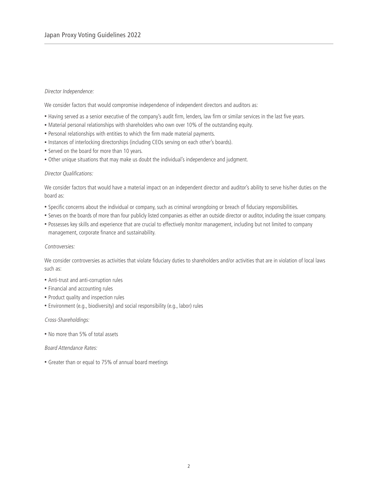## Director Independence:

We consider factors that would compromise independence of independent directors and auditors as:

- Having served as a senior executive of the company's audit firm, lenders, law firm or similar services in the last five years.
- Material personal relationships with shareholders who own over 10% of the outstanding equity.
- Personal relationships with entities to which the firm made material payments.
- Instances of interlocking directorships (including CEOs serving on each other's boards).
- Served on the board for more than 10 years.
- Other unique situations that may make us doubt the individual's independence and judgment.

#### Director Qualifications:

We consider factors that would have a material impact on an independent director and auditor's ability to serve his/her duties on the board as:

- Specific concerns about the individual or company, such as criminal wrongdoing or breach of fiduciary responsibilities.
- Serves on the boards of more than four publicly listed companies as either an outside director or auditor, including the issuer company.
- Possesses key skills and experience that are crucial to effectively monitor management, including but not limited to company management, corporate finance and sustainability.

#### Controversies:

We consider controversies as activities that violate fiduciary duties to shareholders and/or activities that are in violation of local laws such as:

- Anti-trust and anti-corruption rules
- Financial and accounting rules
- Product quality and inspection rules
- Environment (e.g., biodiversity) and social responsibility (e.g., labor) rules

#### Cross-Shareholdings:

• No more than 5% of total assets

#### Board Attendance Rates:

• Greater than or equal to 75% of annual board meetings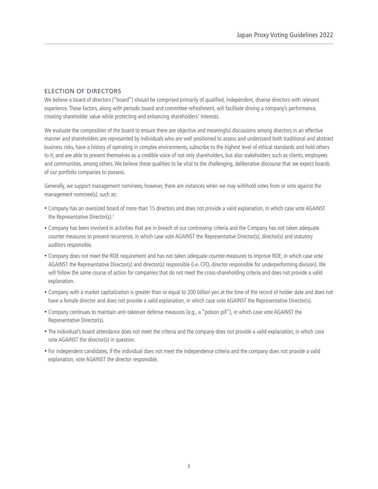# ELECTION OF DIRECTORS

We believe a board of directors ("board") should be comprised primarily of qualified, independent, diverse directors with relevant experience. These factors, along with periodic board and committee refreshment, will facilitate driving a company's performance, creating shareholder value while protecting and enhancing shareholders' interests.

We evaluate the composition of the board to ensure there are objective and meaningful discussions among directors in an effective manner and shareholders are represented by individuals who are well positioned to assess and understand both traditional and abstract business risks, have a history of operating in complex environments, subscribe to the highest level of ethical standards and hold others to it, and are able to present themselves as a credible voice of not only shareholders, but also stakeholders such as clients, employees and communities, among others. We believe these qualities to be vital to the challenging, deliberative discourse that we expect boards of our portfolio companies to possess.

Generally, we support management nominees; however, there are instances when we may withhold votes from or vote against the management nominee(s), such as:

- Company has an oversized board of more than 15 directors and does not provide a valid explanation, in which case vote AGAINST the Representative Director(s).<sup>1</sup>
- Company has been involved in activities that are in breach of our controversy criteria and the Company has not taken adequate counter measures to prevent recurrence, in which case vote AGAINST the Representative Director(s), director(s) and statutory auditors responsible.
- Company does not meet the ROE requirement and has not taken adequate counter-measures to improve ROE, in which case vote AGAINST the Representative Director(s) and director(s) responsible (i.e. CFO, director responsible for underperforming division). We will follow the same course of action for companies that do not meet the cross-shareholding criteria and does not provide a valid explanation.
- Company with a market capitalization is greater than or equal to 200 billion yen at the time of the record of holder date and does not have a female director and does not provide a valid explanation, in which case vote AGAINST the Representative Director(s).
- Company continues to maintain anti-takeover defense measures (e.g., a "poison pill"), in which case vote AGAINST the Representative Director(s).
- The individual's board attendance does not meet the criteria and the company does not provide a valid explanation, in which case vote AGAINST the director(s) in question.
- For independent candidates, if the individual does not meet the independence criteria and the company does not provide a valid explanation, vote AGAINST the director responsible.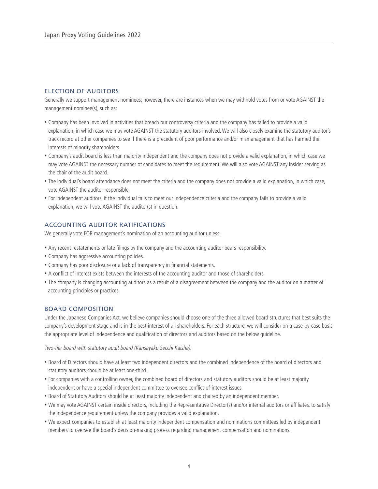# ELECTION OF AUDITORS

Generally we support management nominees; however, there are instances when we may withhold votes from or vote AGAINST the management nominee(s), such as:

- Company has been involved in activities that breach our controversy criteria and the company has failed to provide a valid explanation, in which case we may vote AGAINST the statutory auditors involved. We will also closely examine the statutory auditor's track record at other companies to see if there is a precedent of poor performance and/or mismanagement that has harmed the interests of minority shareholders.
- Company's audit board is less than majority independent and the company does not provide a valid explanation, in which case we may vote AGAINST the necessary number of candidates to meet the requirement. We will also vote AGAINST any insider serving as the chair of the audit board.
- The individual's board attendance does not meet the criteria and the company does not provide a valid explanation, in which case, vote AGAINST the auditor responsible.
- For independent auditors, if the individual fails to meet our independence criteria and the company fails to provide a valid explanation, we will vote AGAINST the auditor(s) in question.

# ACCOUNTING AUDITOR RATIFICATIONS

We generally vote FOR management's nomination of an accounting auditor unless:

- Any recent restatements or late filings by the company and the accounting auditor bears responsibility.
- Company has aggressive accounting policies.
- Company has poor disclosure or a lack of transparency in financial statements.
- A conflict of interest exists between the interests of the accounting auditor and those of shareholders.
- The company is changing accounting auditors as a result of a disagreement between the company and the auditor on a matter of accounting principles or practices.

# BOARD COMPOSITION

Under the Japanese Companies Act, we believe companies should choose one of the three allowed board structures that best suits the company's development stage and is in the best interest of all shareholders. For each structure, we will consider on a case-by-case basis the appropriate level of independence and qualification of directors and auditors based on the below guideline.

Two-tier board with statutory audit board (Kansayaku Secchi Kaisha):

- Board of Directors should have at least two independent directors and the combined independence of the board of directors and statutory auditors should be at least one-third.
- For companies with a controlling owner, the combined board of directors and statutory auditors should be at least majority independent or have a special independent committee to oversee conflict-of-interest issues.
- Board of Statutory Auditors should be at least majority independent and chaired by an independent member.
- We may vote AGAINST certain inside directors, including the Representative Director(s) and/or internal auditors or affiliates, to satisfy the independence requirement unless the company provides a valid explanation.
- We expect companies to establish at least majority independent compensation and nominations committees led by independent members to oversee the board's decision-making process regarding management compensation and nominations.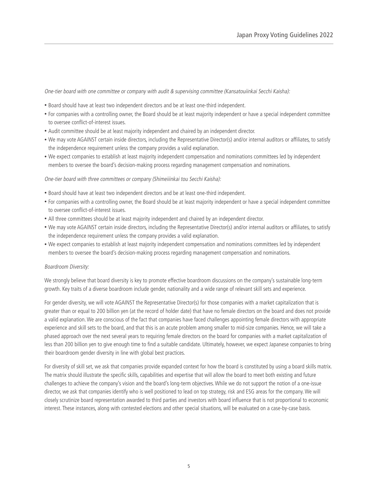One-tier board with one committee or company with audit & supervising committee (Kansatouiinkai Secchi Kaisha):

- Board should have at least two independent directors and be at least one-third independent.
- For companies with a controlling owner, the Board should be at least majority independent or have a special independent committee to oversee conflict-of-interest issues.
- Audit committee should be at least majority independent and chaired by an independent director.
- We may vote AGAINST certain inside directors, including the Representative Director(s) and/or internal auditors or affiliates, to satisfy the independence requirement unless the company provides a valid explanation.
- We expect companies to establish at least majority independent compensation and nominations committees led by independent members to oversee the board's decision-making process regarding management compensation and nominations.

#### One-tier board with three committees or company (Shimeiiinkai tou Secchi Kaisha):

- Board should have at least two independent directors and be at least one-third independent.
- For companies with a controlling owner, the Board should be at least majority independent or have a special independent committee to oversee conflict-of-interest issues.
- All three committees should be at least majority independent and chaired by an independent director.
- We may vote AGAINST certain inside directors, including the Representative Director(s) and/or internal auditors or affiliates, to satisfy the independence requirement unless the company provides a valid explanation.
- We expect companies to establish at least majority independent compensation and nominations committees led by independent members to oversee the board's decision-making process regarding management compensation and nominations.

## Boardroom Diversity:

We strongly believe that board diversity is key to promote effective boardroom discussions on the company's sustainable long-term growth. Key traits of a diverse boardroom include gender, nationality and a wide range of relevant skill sets and experience.

For gender diversity, we will vote AGAINST the Representative Director(s) for those companies with a market capitalization that is greater than or equal to 200 billion yen (at the record of holder date) that have no female directors on the board and does not provide a valid explanation. We are conscious of the fact that companies have faced challenges appointing female directors with appropriate experience and skill sets to the board, and that this is an acute problem among smaller to mid-size companies. Hence, we will take a phased approach over the next several years to requiring female directors on the board for companies with a market capitalization of less than 200 billion yen to give enough time to find a suitable candidate. Ultimately, however, we expect Japanese companies to bring their boardroom gender diversity in line with global best practices.

For diversity of skill set, we ask that companies provide expanded context for how the board is constituted by using a board skills matrix. The matrix should illustrate the specific skills, capabilities and expertise that will allow the board to meet both existing and future challenges to achieve the company's vision and the board's long-term objectives. While we do not support the notion of a one-issue director, we ask that companies identify who is well positioned to lead on top strategy, risk and ESG areas for the company. We will closely scrutinize board representation awarded to third parties and investors with board influence that is not proportional to economic interest. These instances, along with contested elections and other special situations, will be evaluated on a case-by-case basis.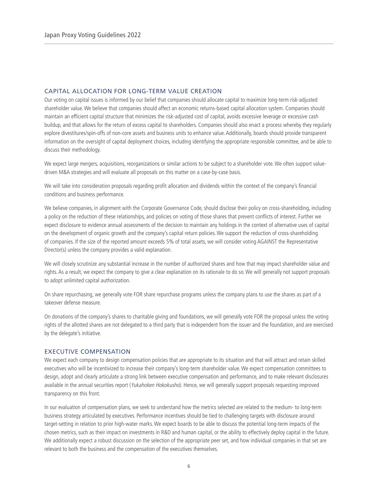## CAPITAL ALLOCATION FOR LONG-TERM VALUE CREATION

Our voting on capital issues is informed by our belief that companies should allocate capital to maximize long-term risk-adjusted shareholder value. We believe that companies should affect an economic returns-based capital allocation system. Companies should maintain an efficient capital structure that minimizes the risk-adjusted cost of capital, avoids excessive leverage or excessive cash buildup, and that allows for the return of excess capital to shareholders. Companies should also enact a process whereby they regularly explore divestitures/spin-offs of non-core assets and business units to enhance value. Additionally, boards should provide transparent information on the oversight of capital deployment choices, including identifying the appropriate responsible committee, and be able to discuss their methodology.

We expect large mergers, acquisitions, reorganizations or similar actions to be subject to a shareholder vote. We often support valuedriven M&A strategies and will evaluate all proposals on this matter on a case-by-case basis.

We will take into consideration proposals regarding profit allocation and dividends within the context of the company's financial conditions and business performance.

We believe companies, in alignment with the Corporate Governance Code, should disclose their policy on cross-shareholding, including a policy on the reduction of these relationships, and policies on voting of those shares that prevent conflicts of interest. Further we expect disclosure to evidence annual assessments of the decision to maintain any holdings in the context of alternative uses of capital on the development of organic growth and the company's capital return policies. We support the reduction of cross-shareholding of companies. If the size of the reported amount exceeds 5% of total assets, we will consider voting AGAINST the Representative Director(s) unless the company provides a valid explanation.

We will closely scrutinize any substantial increase in the number of authorized shares and how that may impact shareholder value and rights. As a result, we expect the company to give a clear explanation on its rationale to do so. We will generally not support proposals to adopt unlimited capital authorization.

On share repurchasing, we generally vote FOR share repurchase programs unless the company plans to use the shares as part of a takeover defense measure.

On donations of the company's shares to charitable giving and foundations, we will generally vote FOR the proposal unless the voting rights of the allotted shares are not delegated to a third party that is independent from the issuer and the foundation, and are exercised by the delegate's initiative.

## EXECUTIVE COMPENSATION

We expect each company to design compensation policies that are appropriate to its situation and that will attract and retain skilled executives who will be incentivized to increase their company's long-term shareholder value. We expect compensation committees to design, adopt and clearly articulate a strong link between executive compensation and performance, and to make relevant disclosures available in the annual securities report (Yukahoken Hokokusho). Hence, we will generally support proposals requesting improved transparency on this front.

In our evaluation of compensation plans, we seek to understand how the metrics selected are related to the medium- to long-term business strategy articulated by executives. Performance incentives should be tied to challenging targets with disclosure around target-setting in relation to prior high-water marks. We expect boards to be able to discuss the potential long-term impacts of the chosen metrics, such as their impact on investments in R&D and human capital, or the ability to effectively deploy capital in the future. We additionally expect a robust discussion on the selection of the appropriate peer set, and how individual companies in that set are relevant to both the business and the compensation of the executives themselves.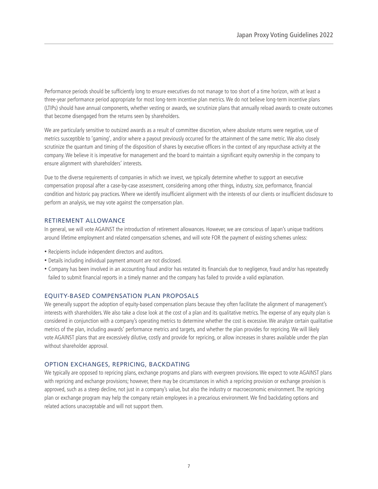Performance periods should be sufficiently long to ensure executives do not manage to too short of a time horizon, with at least a three-year performance period appropriate for most long-term incentive plan metrics. We do not believe long-term incentive plans (LTIPs) should have annual components, whether vesting or awards, we scrutinize plans that annually reload awards to create outcomes that become disengaged from the returns seen by shareholders.

We are particularly sensitive to outsized awards as a result of committee discretion, where absolute returns were negative, use of metrics susceptible to 'gaming', and/or where a payout previously occurred for the attainment of the same metric. We also closely scrutinize the quantum and timing of the disposition of shares by executive officers in the context of any repurchase activity at the company. We believe it is imperative for management and the board to maintain a significant equity ownership in the company to ensure alignment with shareholders' interests.

Due to the diverse requirements of companies in which we invest, we typically determine whether to support an executive compensation proposal after a case-by-case assessment, considering among other things, industry, size, performance, financial condition and historic pay practices. Where we identify insufficient alignment with the interests of our clients or insufficient disclosure to perform an analysis, we may vote against the compensation plan.

# RETIREMENT ALLOWANCE

In general, we will vote AGAINST the introduction of retirement allowances. However, we are conscious of Japan's unique traditions around lifetime employment and related compensation schemes, and will vote FOR the payment of existing schemes unless:

- Recipients include independent directors and auditors.
- Details including individual payment amount are not disclosed.
- Company has been involved in an accounting fraud and/or has restated its financials due to negligence, fraud and/or has repeatedly failed to submit financial reports in a timely manner and the company has failed to provide a valid explanation.

# EQUITY-BASED COMPENSATION PLAN PROPOSALS

We generally support the adoption of equity-based compensation plans because they often facilitate the alignment of management's interests with shareholders. We also take a close look at the cost of a plan and its qualitative metrics. The expense of any equity plan is considered in conjunction with a company's operating metrics to determine whether the cost is excessive. We analyze certain qualitative metrics of the plan, including awards' performance metrics and targets, and whether the plan provides for repricing. We will likely vote AGAINST plans that are excessively dilutive, costly and provide for repricing, or allow increases in shares available under the plan without shareholder approval.

## OPTION EXCHANGES, REPRICING, BACKDATING

We typically are opposed to repricing plans, exchange programs and plans with evergreen provisions. We expect to vote AGAINST plans with repricing and exchange provisions; however, there may be circumstances in which a repricing provision or exchange provision is approved, such as a steep decline, not just in a company's value, but also the industry or macroeconomic environment. The repricing plan or exchange program may help the company retain employees in a precarious environment. We find backdating options and related actions unacceptable and will not support them.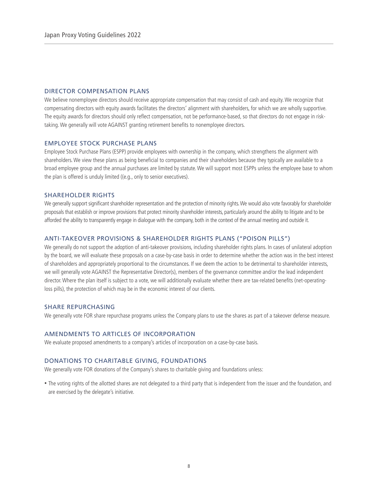## DIRECTOR COMPENSATION PLANS

We believe nonemployee directors should receive appropriate compensation that may consist of cash and equity. We recognize that compensating directors with equity awards facilitates the directors' alignment with shareholders, for which we are wholly supportive. The equity awards for directors should only reflect compensation, not be performance-based, so that directors do not engage in risktaking. We generally will vote AGAINST granting retirement benefits to nonemployee directors.

## EMPLOYEE STOCK PURCHASE PLANS

Employee Stock Purchase Plans (ESPP) provide employees with ownership in the company, which strengthens the alignment with shareholders. We view these plans as being beneficial to companies and their shareholders because they typically are available to a broad employee group and the annual purchases are limited by statute. We will support most ESPPs unless the employee base to whom the plan is offered is unduly limited ((e.g., only to senior executives).

## SHAREHOLDER RIGHTS

We generally support significant shareholder representation and the protection of minority rights. We would also vote favorably for shareholder proposals that establish or improve provisions that protect minority shareholder interests, particularly around the ability to litigate and to be afforded the ability to transparently engage in dialogue with the company, both in the context of the annual meeting and outside it.

#### ANTI-TAKEOVER PROVISIONS & SHAREHOLDER RIGHTS PLANS ("POISON PILLS")

We generally do not support the adoption of anti-takeover provisions, including shareholder rights plans. In cases of unilateral adoption by the board, we will evaluate these proposals on a case-by-case basis in order to determine whether the action was in the best interest of shareholders and appropriately proportional to the circumstances. If we deem the action to be detrimental to shareholder interests, we will generally vote AGAINST the Representative Director(s), members of the governance committee and/or the lead independent director. Where the plan itself is subject to a vote, we will additionally evaluate whether there are tax-related benefits (net-operatingloss pills), the protection of which may be in the economic interest of our clients.

#### SHARE REPURCHASING

We generally vote FOR share repurchase programs unless the Company plans to use the shares as part of a takeover defense measure.

#### AMENDMENTS TO ARTICLES OF INCORPORATION

We evaluate proposed amendments to a company's articles of incorporation on a case-by-case basis.

#### DONATIONS TO CHARITABLE GIVING, FOUNDATIONS

We generally vote FOR donations of the Company's shares to charitable giving and foundations unless:

• The voting rights of the allotted shares are not delegated to a third party that is independent from the issuer and the foundation, and are exercised by the delegate's initiative.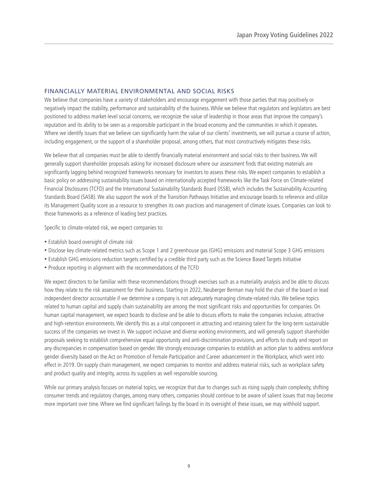## FINANCIALLY MATERIAL ENVIRONMENTAL AND SOCIAL RISKS

We believe that companies have a variety of stakeholders and encourage engagement with those parties that may positively or negatively impact the stability, performance and sustainability of the business. While we believe that regulators and legislators are best positioned to address market-level social concerns, we recognize the value of leadership in those areas that improve the company's reputation and its ability to be seen as a responsible participant in the broad economy and the communities in which it operates. Where we identify issues that we believe can significantly harm the value of our clients' investments, we will pursue a course of action, including engagement, or the support of a shareholder proposal, among others, that most constructively mitigates these risks.

We believe that all companies must be able to identify financially material environment and social risks to their business. We will generally support shareholder proposals asking for increased disclosure where our assessment finds that existing materials are significantly lagging behind recognized frameworks necessary for investors to assess these risks. We expect companies to establish a basic policy on addressing sustainability issues based on internationally accepted frameworks like the Task Force on Climate-related Financial Disclosures (TCFD) and the International Sustainability Standards Board (ISSB), which includes the Sustainability Accounting Standards Board (SASB). We also support the work of the Transition Pathways Initiative and encourage boards to reference and utilize its Management Quality score as a resource to strengthen its own practices and management of climate issues. Companies can look to those frameworks as a reference of leading best practices.

Specific to climate-related risk, we expect companies to:

- Establish board oversight of climate risk
- Disclose key climate-related metrics such as Scope 1 and 2 greenhouse gas (GHG) emissions and material Scope 3 GHG emissions
- Establish GHG emissions reduction targets certified by a credible third party such as the Science Based Targets Initiative
- Produce reporting in alignment with the recommendations of the TCFD

We expect directors to be familiar with these recommendations through exercises such as a materiality analysis and be able to discuss how they relate to the risk assessment for their business. Starting in 2022, Neuberger Berman may hold the chair of the board or lead independent director accountable if we determine a company is not adequately managing climate-related risks. We believe topics related to human capital and supply chain sustainability are among the most significant risks and opportunities for companies. On human capital management, we expect boards to disclose and be able to discuss efforts to make the companies inclusive, attractive and high-retention environments. We identify this as a vital component in attracting and retaining talent for the long-term sustainable success of the companies we invest in. We support inclusive and diverse working environments, and will generally support shareholder proposals seeking to establish comprehensive equal opportunity and anti-discrimination provisions, and efforts to study and report on any discrepancies in compensation based on gender. We strongly encourage companies to establish an action plan to address workforce gender diversity based on the Act on Promotion of Female Participation and Career advancement in the Workplace, which went into effect in 2019. On supply chain management, we expect companies to monitor and address material risks, such as workplace safety and product quality and integrity, across its suppliers as well responsible sourcing.

While our primary analysis focuses on material topics, we recognize that due to changes such as rising supply chain complexity, shifting consumer trends and regulatory changes, among many others, companies should continue to be aware of salient issues that may become more important over time. Where we find significant failings by the board in its oversight of these issues, we may withhold support.